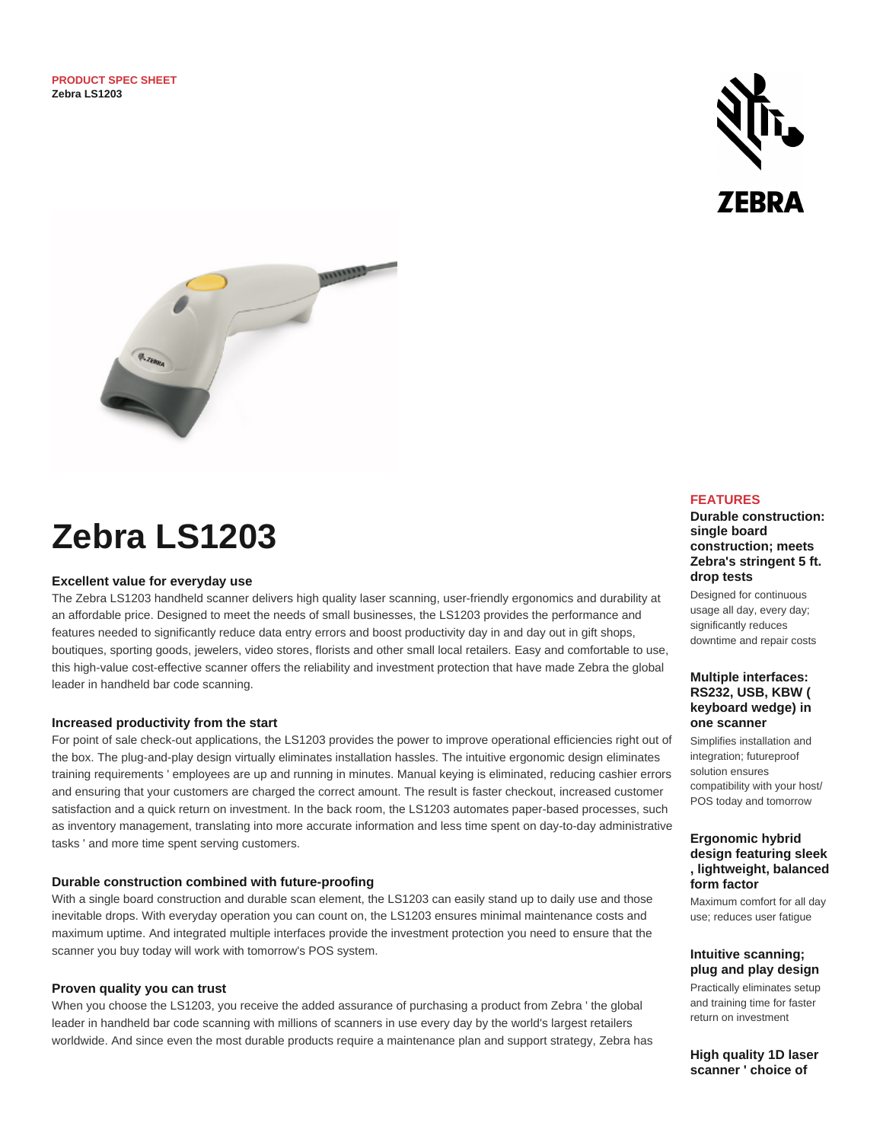



# **Zebra LS1203**

### **Excellent value for everyday use**

The Zebra LS1203 handheld scanner delivers high quality laser scanning, user-friendly ergonomics and durability at an affordable price. Designed to meet the needs of small businesses, the LS1203 provides the performance and features needed to significantly reduce data entry errors and boost productivity day in and day out in gift shops, boutiques, sporting goods, jewelers, video stores, florists and other small local retailers. Easy and comfortable to use, this high-value cost-effective scanner offers the reliability and investment protection that have made Zebra the global leader in handheld bar code scanning.

### **Increased productivity from the start**

For point of sale check-out applications, the LS1203 provides the power to improve operational efficiencies right out of the box. The plug-and-play design virtually eliminates installation hassles. The intuitive ergonomic design eliminates training requirements ' employees are up and running in minutes. Manual keying is eliminated, reducing cashier errors and ensuring that your customers are charged the correct amount. The result is faster checkout, increased customer satisfaction and a quick return on investment. In the back room, the LS1203 automates paper-based processes, such as inventory management, translating into more accurate information and less time spent on day-to-day administrative tasks ' and more time spent serving customers.

#### **Durable construction combined with future-proofing**

With a single board construction and durable scan element, the LS1203 can easily stand up to daily use and those inevitable drops. With everyday operation you can count on, the LS1203 ensures minimal maintenance costs and maximum uptime. And integrated multiple interfaces provide the investment protection you need to ensure that the scanner you buy today will work with tomorrow's POS system.

#### **Proven quality you can trust**

When you choose the LS1203, you receive the added assurance of purchasing a product from Zebra ' the global leader in handheld bar code scanning with millions of scanners in use every day by the world's largest retailers worldwide. And since even the most durable products require a maintenance plan and support strategy, Zebra has

# **FEATURES**

## **Durable construction: single board construction; meets Zebra's stringent 5 ft. drop tests**

Designed for continuous usage all day, every day; significantly reduces downtime and repair costs

## **Multiple interfaces: RS232, USB, KBW ( keyboard wedge) in one scanner**

Simplifies installation and integration; futureproof solution ensures compatibility with your host/ POS today and tomorrow

## **Ergonomic hybrid design featuring sleek , lightweight, balanced form factor**

Maximum comfort for all day use; reduces user fatigue

#### **Intuitive scanning; plug and play design**

Practically eliminates setup and training time for faster return on investment

**High quality 1D laser scanner ' choice of**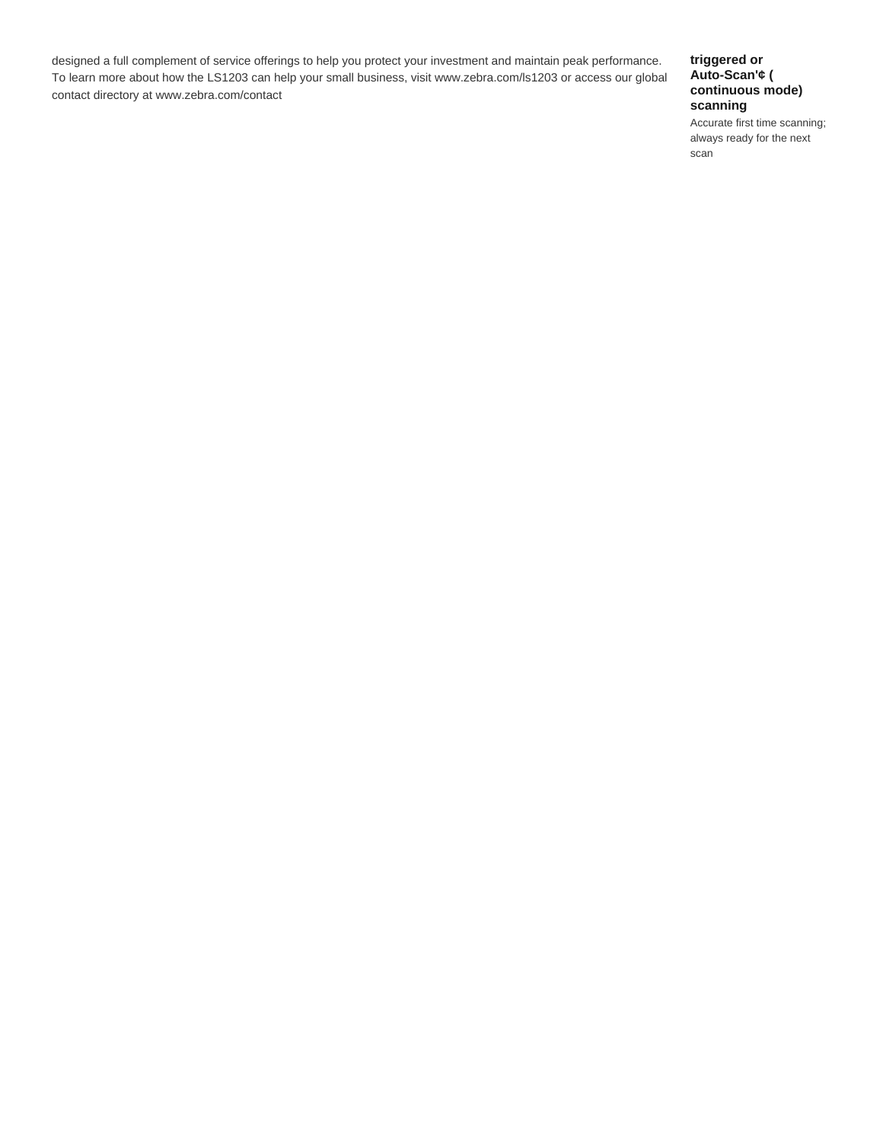designed a full complement of service offerings to help you protect your investment and maintain peak performance. To learn more about how the LS1203 can help your small business, visit www.zebra.com/ls1203 or access our global contact directory at www.zebra.com/contact

# **triggered or Auto-Scan'¢ ( continuous mode) scanning**

Accurate first time scanning; always ready for the next scan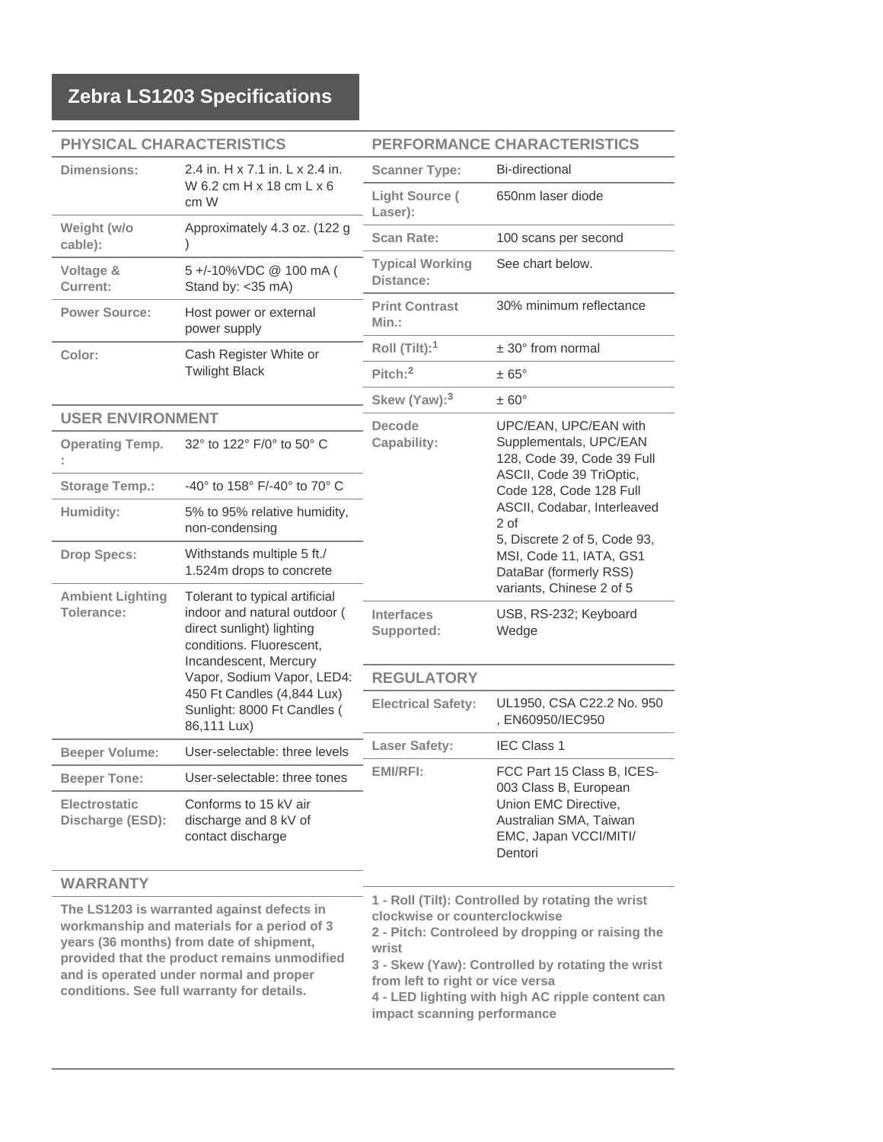| <b>PHYSICAL CHARACTERISTICS</b>          |                                                                                                                                                                                                                                                            | PERFORMANCE CHARACTERISTICS                                                                                                                                                     |                                               |
|------------------------------------------|------------------------------------------------------------------------------------------------------------------------------------------------------------------------------------------------------------------------------------------------------------|---------------------------------------------------------------------------------------------------------------------------------------------------------------------------------|-----------------------------------------------|
| <b>Dimensions:</b>                       | 2.4 in. H x 7.1 in. L x 2.4 in.<br>W 6.2 cm $H \times 18$ cm $L \times 6$<br>cm W                                                                                                                                                                          | <b>Scanner Type:</b>                                                                                                                                                            | <b>Bi-directional</b>                         |
|                                          |                                                                                                                                                                                                                                                            | <b>Light Source (</b><br>Laser):                                                                                                                                                | 650nm laser diode                             |
| Weight (w/o<br>cable):                   | Approximately 4.3 oz. (122 g                                                                                                                                                                                                                               | <b>Scan Rate:</b>                                                                                                                                                               | 100 scans per second                          |
| Voltage &<br><b>Current:</b>             | 5+/-10%VDC @ 100 mA (<br>Stand by: < 35 mA)                                                                                                                                                                                                                | <b>Typical Working</b><br>Distance:                                                                                                                                             | See chart below.                              |
| <b>Power Source:</b>                     | Host power or external<br>power supply                                                                                                                                                                                                                     | <b>Print Contrast</b><br>$Min.$ :                                                                                                                                               | 30% minimum reflectance                       |
| Color:                                   | Cash Register White or<br><b>Twilight Black</b>                                                                                                                                                                                                            | Roll (Tilt): <sup>1</sup>                                                                                                                                                       | $± 30°$ from normal                           |
|                                          |                                                                                                                                                                                                                                                            | $Pitch:$ <sup>2</sup>                                                                                                                                                           | $\pm 65^{\circ}$                              |
|                                          |                                                                                                                                                                                                                                                            | Skew (Yaw): <sup>3</sup>                                                                                                                                                        | $\pm 60^{\circ}$                              |
| <b>USER ENVIRONMENT</b>                  |                                                                                                                                                                                                                                                            | <b>Decode</b>                                                                                                                                                                   | UPC/EAN, UPC/EAN with                         |
| <b>Operating Temp.</b>                   | 32° to 122° F/0° to 50° C                                                                                                                                                                                                                                  | Supplementals, UPC/EAN<br>Capability:<br>128, Code 39, Code 39 Full                                                                                                             |                                               |
| <b>Storage Temp.:</b>                    | -40° to 158° F/-40° to 70° C                                                                                                                                                                                                                               | ASCII, Code 39 TriOptic,<br>Code 128, Code 128 Full<br>ASCII, Codabar, Interleaved<br>2 of<br>5, Discrete 2 of 5, Code 93,<br>MSI, Code 11, IATA, GS1<br>DataBar (formerly RSS) |                                               |
| Humidity:                                | 5% to 95% relative humidity,<br>non-condensing                                                                                                                                                                                                             |                                                                                                                                                                                 |                                               |
| <b>Drop Specs:</b>                       | Withstands multiple 5 ft./<br>1.524m drops to concrete                                                                                                                                                                                                     |                                                                                                                                                                                 |                                               |
| <b>Ambient Lighting</b><br>Tolerance:    | Tolerant to typical artificial<br>indoor and natural outdoor (<br>direct sunlight) lighting<br>conditions. Fluorescent,<br>Incandescent, Mercury<br>Vapor, Sodium Vapor, LED4:<br>450 Ft Candles (4,844 Lux)<br>Sunlight: 8000 Ft Candles (<br>86,111 Lux) |                                                                                                                                                                                 | variants, Chinese 2 of 5                      |
|                                          |                                                                                                                                                                                                                                                            | <b>Interfaces</b><br>Supported:                                                                                                                                                 | USB, RS-232; Keyboard<br>Wedge                |
|                                          |                                                                                                                                                                                                                                                            | <b>REGULATORY</b>                                                                                                                                                               |                                               |
|                                          |                                                                                                                                                                                                                                                            | <b>Electrical Safety:</b>                                                                                                                                                       | UL1950, CSA C22.2 No. 950<br>, EN60950/IEC950 |
| <b>Beeper Volume:</b>                    | User-selectable: three levels                                                                                                                                                                                                                              | <b>Laser Safety:</b>                                                                                                                                                            | <b>IEC Class 1</b>                            |
| <b>Beeper Tone:</b>                      | User-selectable: three tones                                                                                                                                                                                                                               | FCC Part 15 Class B, ICES-<br><b>EMI/RFI:</b><br>003 Class B, European<br>Union EMC Directive,<br>Australian SMA, Taiwan<br>EMC, Japan VCCI/MITI/<br>Dentori                    |                                               |
| <b>Electrostatic</b><br>Discharge (ESD): | Conforms to 15 kV air<br>discharge and 8 kV of<br>contact discharge                                                                                                                                                                                        |                                                                                                                                                                                 |                                               |

# **WARRANTY**

**The LS1203 is warranted against defects in workmanship and materials for a period of 3 years (36 months) from date of shipment, provided that the product remains unmodified and is operated under normal and proper conditions. See full warranty for details.**

**1 - Roll (Tilt): Controlled by rotating the wrist clockwise or counterclockwise 2 - Pitch: Controleed by dropping or raising the wrist 3 - Skew (Yaw): Controlled by rotating the wrist**

**from left to right or vice versa**

**4 - LED lighting with high AC ripple content can impact scanning performance**